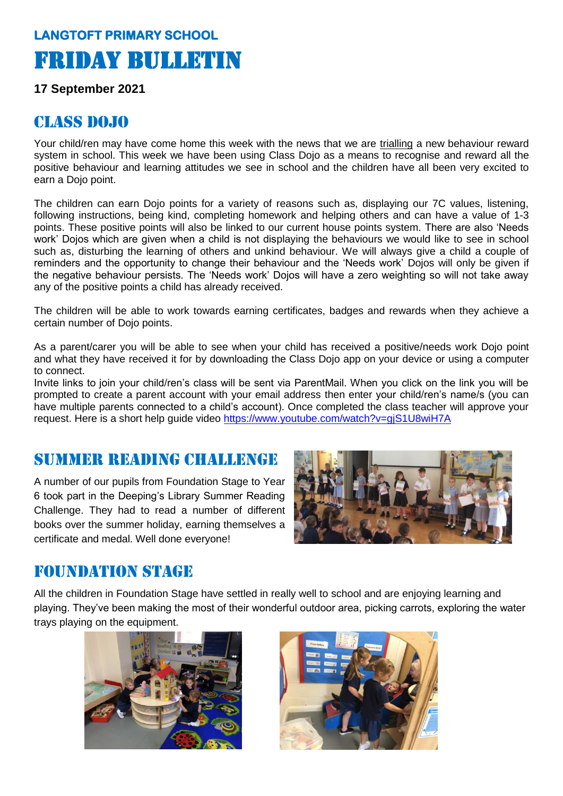# **LANGTOFT PRIMARY SCHOOL**  Friday Bulletin

#### **17 September 2021**

#### CLASS DOJO

Your child/ren may have come home this week with the news that we are trialling a new behaviour reward system in school. This week we have been using Class Dojo as a means to recognise and reward all the positive behaviour and learning attitudes we see in school and the children have all been very excited to earn a Dojo point.

The children can earn Dojo points for a variety of reasons such as, displaying our 7C values, listening, following instructions, being kind, completing homework and helping others and can have a value of 1-3 points. These positive points will also be linked to our current house points system. There are also 'Needs work' Dojos which are given when a child is not displaying the behaviours we would like to see in school such as, disturbing the learning of others and unkind behaviour. We will always give a child a couple of reminders and the opportunity to change their behaviour and the 'Needs work' Dojos will only be given if the negative behaviour persists. The 'Needs work' Dojos will have a zero weighting so will not take away any of the positive points a child has already received.

The children will be able to work towards earning certificates, badges and rewards when they achieve a certain number of Dojo points.

As a parent/carer you will be able to see when your child has received a positive/needs work Dojo point and what they have received it for by downloading the Class Dojo app on your device or using a computer to connect.

Invite links to join your child/ren's class will be sent via ParentMail. When you click on the link you will be prompted to create a parent account with your email address then enter your child/ren's name/s (you can have multiple parents connected to a child's account). Once completed the class teacher will approve your request. Here is a short help guide video<https://www.youtube.com/watch?v=gjS1U8wiH7A>

# Summer Reading challenge

A number of our pupils from Foundation Stage to Year 6 took part in the Deeping's Library Summer Reading Challenge. They had to read a number of different books over the summer holiday, earning themselves a certificate and medal. Well done everyone!



#### Foundation stage

All the children in Foundation Stage have settled in really well to school and are enjoying learning and playing. They've been making the most of their wonderful outdoor area, picking carrots, exploring the water trays playing on the equipment.